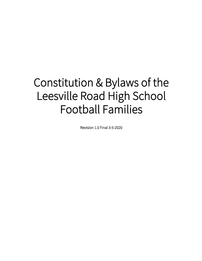# Constitution & Bylaws of the Leesville Road High School Football Families

Revision 1.0 Final 3-5-2020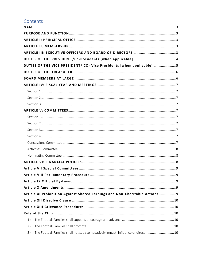# Contents

|    | DUTIES OF THE VICE PRESIDENT/ CO- Vice Presidents [when applicable] 5             |  |
|----|-----------------------------------------------------------------------------------|--|
|    |                                                                                   |  |
|    |                                                                                   |  |
|    |                                                                                   |  |
|    |                                                                                   |  |
|    |                                                                                   |  |
|    |                                                                                   |  |
|    |                                                                                   |  |
|    |                                                                                   |  |
|    |                                                                                   |  |
|    |                                                                                   |  |
|    |                                                                                   |  |
|    |                                                                                   |  |
|    |                                                                                   |  |
|    |                                                                                   |  |
|    |                                                                                   |  |
|    |                                                                                   |  |
|    |                                                                                   |  |
|    |                                                                                   |  |
|    |                                                                                   |  |
|    | Article XI Prohibition Against Shared Earnings and Non-Charitable Actions  9      |  |
|    |                                                                                   |  |
|    |                                                                                   |  |
|    |                                                                                   |  |
| 1) |                                                                                   |  |
| 2) |                                                                                   |  |
| 3) | The Football Families shall not seek to negatively impact, influence or direct 10 |  |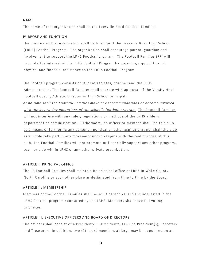#### <span id="page-3-0"></span>NAME

The name of this organization shall be the Leesville Road Football Families.

#### <span id="page-3-1"></span>PURPOSE AND FUNCTION

The purpose of the organization shall be to support the Leesville Road High School [LRHS] Football Program. The organization shall encourage parent, guardian and involvement to support the LRHS Football program. The Football Families (FF) will promote the interest of the LRHS Football Program by providing support through physical and financial assistance to the LRHS Football Program.

The Football program consists of student athletes, coaches and the LRHS Administration. The Football Families shall operate with approval of the Varsity Head Football Coach, Athletic Director or High School principal.

*At no time shall the Football Families make any recommendations or become involved with the day to day operations of the school's football program*. The Football Families will not interfere with any rules, regulations or methods of the LRHS athletic department or administration. Furthermore, no officer or member shall use this club as a means of furthering any personal, political or other aspirations, nor shall the club as a whole take part in any movement not in keeping with the real purpose of this club. The Football Families will not promote or financially support any other program, team or club within LRHS or any other private organization .

#### <span id="page-3-2"></span>ARTICLE I: PRINCIPAL OFFICE

The LR Football Families shall maintain its principal office at LRHS in Wake County, North Carolina or such other place as designated from time to time by the Board.

#### <span id="page-3-3"></span>ARTICLE II: MEMBERSHIP

Members of the Football Families shall be adult parents/guardians interested in the LRHS Football program sponsored by the LRHS. Members shall have full voting privileges.

#### <span id="page-3-4"></span>ARTICLE III: EXECUTIVE OFFICERS AND BOARD OF DIRECTORS

The officers shall consist of a President/CO-Presidents, CO-Vice President(s), Secretary and Treasurer. In addition, two (2) board members at large may be appointed on an

3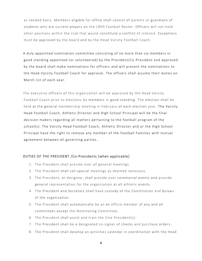as needed basis. Members eligible for office shall consist of parents or guardians of students who are current players on the LRHS Football Roster. Officers will not hold other positions within the club that would constitute a conflict of interest. Exceptions must be approved by the board and by the Head Varsity Football Coach.

A duly appointed nomination committee consisting of no more than six members in good standing appointed (or volunteered) by the President/Co -President and approved by the board shall make nominations for officers and will present the nominations to the Head Varsity Football Coach for approval. The officers shall assume their duties on March 1st of each year.

The executive officers of this organization will be approved by the Head Varsity Football Coach prior to elections by members in good standing. The election shall be held at the general membership meeting in February of each election year. The Varsity Head Football Coach, Athletic Director and High School Principal will be the final decision makers regarding all matters pertaining to the football program of the school(s). The Varsity Head Football Coach , Athletic Director and or the High School Principal have the right to remove any member of the Football Families with mutual agreement between all governing parties. .

#### <span id="page-4-0"></span>DUTIES OF THE PRESIDENT /Co-Presidents [when applicable]

- 1. The President shall preside over all general meetings.
- 2. The President shall call special meetings as deemed necessary.
- 3. The President, or designee, shall preside over ceremonial events and provide general representation for the organization at all athletic events.
- 4. The President and Secretary shall have custody of the Constitution and Bylaws of the organization.
- 5. The President shall automatically be an ex officio member of any and all committees except the Nominating Committee.
- 6. The President shall assist and train the Vice President(s).
- 7. The President shall be a designated co-signer of checks and purchase orders.
- 8. The President shall develop an activities calendar in coordination with the Head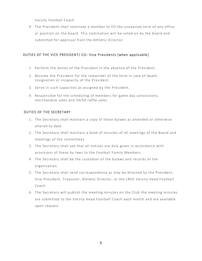Varsity Football Coach.

9. The President shall nominate a member to fill the unexpired term of any office or position on the board. This nomination will be voted on by the board and submitted for approval from the Athletic Director.

# <span id="page-5-0"></span>DUTIES OF THE VICE PRESIDENT/ CO- Vice Presidents [when applicable ]

- 1. Perform the duties of the President in the absence of the President.
- 2. Become the President for the remainder of the term in case of death, resignation or incapacity of the President.
- 3. Serve in such capacities as assigned by the President.
- 4. Responsible for the scheduling of members for game day concessions, merchandise sales and 50/50 raffle sales.

# DUTIES OF THE SECRETARY

- 1. The Secretary shall maintain a copy of these bylaws as amended or otherwise altered to date.
- 2. The Secretary shall maintain a book of minutes of all meetings of the Board and meetings of the committees.
- 3. The Secretary shall see that all notices are duly given in accordance with provisions of these by -laws to the Football Family Members.
- 4. The Secretary shall be the custodian of the bylaws and records of the organization.
- 5. The Secretary shall send correspondence as may be directed by the President, Vice President, Treasurer, Athletic Director, or the LRHS Varsity Head Football Coach.
- 6. The Secretary will publish the meeting minutes on the Club the meeting minutes are submitted to the Varsity Head Football Coach each month and are available upon request.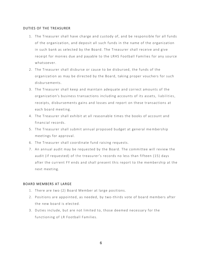#### <span id="page-6-0"></span>DUTIES OF THE TREASURER

- 1. The Treasurer shall have charge and custody of, and be responsible for all funds of the organization, and deposit all such funds in the name of the organization in such bank as selected by the Board. The Treasurer shall receive and give receipt for monies due and payable to the LRHS Football Families for any source whatsoever.
- 2. The Treasurer shall disburse or cause to be disbursed, the funds of the organization as may be directed by the Board, taking proper vouchers for such disbursements.
- 3. The Treasurer shall keep and maintain adequate and correct amounts of the organization's business transactions including accounts of its assets, liabilities, receipts, disbursements gains and losses and report on these transactions at each board meeting.
- 4. The Treasurer shall exhibit at all reasonable times the books of account and financial records.
- 5. The Treasurer shall submit annual proposed budget at general me mbership meetings for approval.
- 6. The Treasurer shall coordinate fund raising requests.
- 7. An annual audit may be requested by the Board. The committee will review the audit (if requested) of the treasurer's records no less than fifteen (15) days after the current FY ends and shall present this report to the membership at the next meeting.

#### <span id="page-6-1"></span>BOARD MEMBERS AT LARGE

- 1. There are two (2) Board Member at large positions.
- 2. Positions are appointed, as needed, by two-thirds vote of board members after the new board is elected.
- 3. Duties include, but are not limited to, those deemed necessary for the functioning of LR Football Families.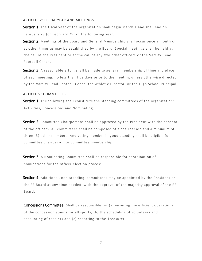#### <span id="page-7-0"></span>ARTICLE IV: FISCAL YEAR AND MEETINGS

<span id="page-7-1"></span>Section 1. The fiscal year of the organization shall begin March 1 and shall end on February 28 (or February 29) of the following year.

<span id="page-7-2"></span>Section 2. Meetings of the Board and General Membership shall occur once a month or at other times as may be established by the Board. Special meetings shall be held at the call of the President or at the call of any two other officers or the Varsity Head Football Coach.

<span id="page-7-3"></span>Section 3. A reasonable effort shall be made to general membership of time and place of each meeting, no less than five days prior to the meeting unless otherwise directed by the Varsity Head Football Coach, the Athletic Director, or the High School Principal.

#### <span id="page-7-4"></span>ARTICLE V: COMMITTEES

<span id="page-7-5"></span>Section 1. The following shall constitute the standing committees of the organization: Activities, Concessions and Nominating.

<span id="page-7-6"></span>Section 2. Committee Chairpersons shall be approved by the President with the consent of the officers. All committees shall be composed of a chairperson and a minimum of three (3) other members. Any voting member in good standing shall be eligible for committee chairperson or committee membership.

<span id="page-7-7"></span>Section 3. A Nominating Committee shall be responsible for coordination of nominations for the officer election process.

<span id="page-7-8"></span>Section 4. Additional, non-standing, committees may be appointed by the President or the FF Board at any time needed, with the approval of the majority approval of the FF Board.

<span id="page-7-9"></span>Concessions Committee: Shall be responsible for (a) ensuring the efficient operations of the concession stands for all sports, (b) the scheduling of volunteers and accounting of receipts and (c) reporting to the Treasurer.

7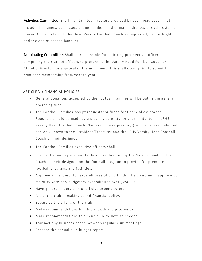<span id="page-8-0"></span>Activities Committee: Shall maintain team rosters provided by each head coach that include the names, addresses, phone numbers and e- mail addresses of each rostered player. Coordinate with the Head Varsity Football Coach as requested, Senior Night and the end of season banquet.

<span id="page-8-1"></span>**Nominating Committee:** Shall be responsible for soliciting prospective officers and comprising the slate of officers to present to the Varsity Head Football Coach or Athletic Director for approval of the nominees. This shall occur prior to submitting nominees membership from year to year.

#### <span id="page-8-2"></span>ARTICLE VI: FINANCIAL POLICIES

- General donations accepted by the Football Families will be put in the general operating fund.
- The Football Families accept requests for funds for financial assistance. Requests should be made by a player's parent(s) or guardian(s) to the LRHS Varsity Head Football Coach. Names of the requestor(s) will remain confidential and only known to the President/Treasurer and the LRHS Varsity Head Football Coach or their designee.
- The Football Families executive officers shall:
- Ensure that money is spent fairly and as directed by the Varsity Head Football Coach or their designee on the football program to provide for premiere football programs and facilities.
- Approve all requests for expenditures of club funds. The board must approve by majority vote non-budgetary expenditures over \$250.00.
- Have general supervision of all club expenditures.
- Assist the club in making sound financial policy.
- Supervise the affairs of the club.
- Make recommendations for club growth and prosperity.
- Make recommendations to amend club by -laws as needed.
- Transact any business needs between regular club meetings.
- Prepare the annual club budget report.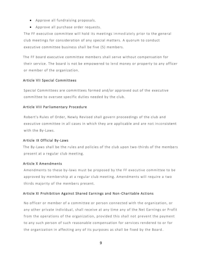- Approve all fundraising proposals.
- Approve all purchase order requests.

The FF executive committee will hold its meetings immediately prior to the general club meetings for consideration of any special matters. A quorum to conduct executive committee business shall be five (5) members.

The FF board executive committee members shall serve without compensation for their service. The board is not be empowered to lend money or property to any officer or member of the organization.

#### <span id="page-9-0"></span>Article VII Special Committees

Special Committees are committees formed and/or approved out of the executive committee to oversee specific duties needed by the club.

# <span id="page-9-1"></span>Article VIII Parliamentary Procedure

Robert's Rules of Order, Newly Revised shall govern proceedings of the club and executive committee in all cases in which they are applicable and are not inconsistent with the By-Laws.

#### <span id="page-9-2"></span>Article IX Official By -Laws

The By-Laws shall be the rules and policies of the club upon two -thirds of the members present at a regular club meeting.

#### <span id="page-9-3"></span>Article X Amendments

Amendments to these by -laws must be proposed by the FF executive committee to be approved by membership at a regular club meeting. Amendments will require a two thirds majority of the members present.

# <span id="page-9-4"></span>Article XI Prohibition Against Shared Earnings and Non -Charitable Actions

No officer or member of a committee or person connected with the organization, or any other private individual, shall receive at any time any of the Net Earnings or Profit from the operations of the organization, provided this shall not prevent the payment to any such person of such reasonable compensation for services rendered to or for the organization in affecting any of its purposes as shall be fixed by the Board .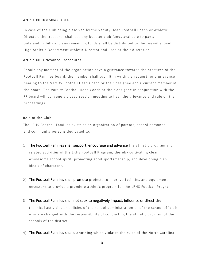# <span id="page-10-0"></span>Article XII Dissolve Clause

In case of the club being dissolved by the Varsity Head Football Coach or Athletic Director, the treasurer shall use any booster club funds available to pay all outstanding bills and any remaining funds shall be distributed to the Leesville Road High Athletic Department Athletic Director and used at their discretion.

# <span id="page-10-1"></span>Article XIII Grievance Procedures

Should any member of the organization have a grievance towards the practices of the Football Families board, the member shall submit in writing a request for a grievance hearing to the Varsity Football Head Coach or their designee and a current member of the board. The Varsity Football Head Coach or their designee in conjunction with the FF board will convene a closed session meeting to hear the grievance and rule on the proceedings.

# <span id="page-10-2"></span>Role of the Club

The LRHS Football Families exists as an organization of parents, school personnel and community persons dedicated to:

- <span id="page-10-3"></span>1) The Football Families shall support, encourage and advance the athletic program and related activities of the LRHS Football Program, thereby cultivating clean, wholesome school spirit, promoting good sportsmanship, and developing high ideals of character.
- <span id="page-10-4"></span>2) The Football Families shall promote projects to improve facilities and equipment necessary to provide a premiere athletic program for the LRHS Football Program·
- <span id="page-10-5"></span>3) The Football Families shall not seek to negatively impact, influence or direct the technical activities or policies of the school administration or of the school officials who are charged with the responsibility of conducting the athletic program of the schools of the district.
- <span id="page-10-6"></span>4) The Football Families shall do nothing which violates the rules of the North Carolina